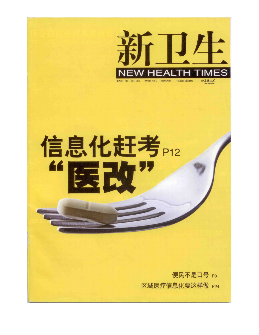

## 信息化赶考P12 661 **BET**

便民不是口号 P8 区域医疗信息化要这样做 P24